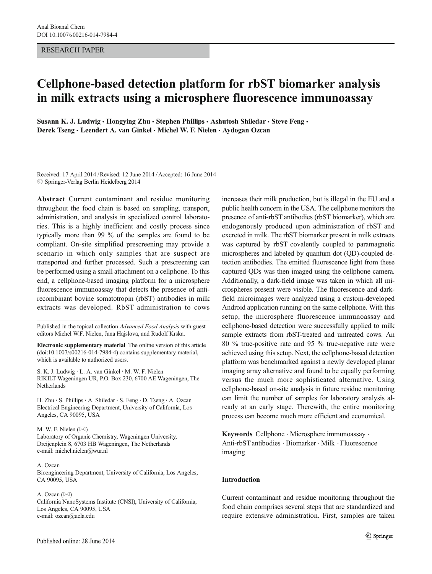## RESEARCH PAPER

# Cellphone-based detection platform for rbST biomarker analysis in milk extracts using a microsphere fluorescence immunoassay

Susann K. J. Ludwig • Hongying Zhu • Stephen Phillips • Ashutosh Shiledar • Steve Feng • Derek Tseng · Leendert A. van Ginkel · Michel W. F. Nielen · Aydogan Ozcan

Received: 17 April 2014 /Revised: 12 June 2014 /Accepted: 16 June 2014  $\oslash$  Springer-Verlag Berlin Heidelberg 2014

Abstract Current contaminant and residue monitoring throughout the food chain is based on sampling, transport, administration, and analysis in specialized control laboratories. This is a highly inefficient and costly process since typically more than 99 % of the samples are found to be compliant. On-site simplified prescreening may provide a scenario in which only samples that are suspect are transported and further processed. Such a prescreening can be performed using a small attachment on a cellphone. To this end, a cellphone-based imaging platform for a microsphere fluorescence immunoassay that detects the presence of antirecombinant bovine somatotropin (rbST) antibodies in milk extracts was developed. RbST administration to cows

Published in the topical collection Advanced Food Analysis with guest editors Michel W.F. Nielen, Jana Hajslova, and Rudolf Krska.

Electronic supplementary material The online version of this article (doi[:10.1007/s00216-014-7984-4](http://dx.doi.org/10.1007/s00216-014-7984-4)) contains supplementary material, which is available to authorized users.

S. K. J. Ludwig : L. A. van Ginkel : M. W. F. Nielen RIKILT Wageningen UR, P.O. Box 230, 6700 AE Wageningen, The Netherlands

H. Zhu : S. Phillips: A. Shiledar : S. Feng : D. Tseng : A. Ozcan Electrical Engineering Department, University of California, Los Angeles, CA 90095, USA

#### M. W. F. Nielen  $(\boxtimes)$

Laboratory of Organic Chemistry, Wageningen University, Dreijenplein 8, 6703 HB Wageningen, The Netherlands e-mail: michel.nielen@wur.nl

A. Ozcan Bioengineering Department, University of California, Los Angeles, CA 90095, USA

## A. Ozcan  $(\boxtimes)$

California NanoSystems Institute (CNSI), University of California, Los Angeles, CA 90095, USA e-mail: ozcan@ucla.edu

increases their milk production, but is illegal in the EU and a public health concern in the USA. The cellphone monitors the presence of anti-rbST antibodies (rbST biomarker), which are endogenously produced upon administration of rbST and excreted in milk. The rbST biomarker present in milk extracts was captured by rbST covalently coupled to paramagnetic microspheres and labeled by quantum dot (QD)-coupled detection antibodies. The emitted fluorescence light from these captured QDs was then imaged using the cellphone camera. Additionally, a dark-field image was taken in which all microspheres present were visible. The fluorescence and darkfield microimages were analyzed using a custom-developed Android application running on the same cellphone. With this setup, the microsphere fluorescence immunoassay and cellphone-based detection were successfully applied to milk sample extracts from rbST-treated and untreated cows. An 80 % true-positive rate and 95 % true-negative rate were achieved using this setup. Next, the cellphone-based detection platform was benchmarked against a newly developed planar imaging array alternative and found to be equally performing versus the much more sophisticated alternative. Using cellphone-based on-site analysis in future residue monitoring can limit the number of samples for laboratory analysis already at an early stage. Therewith, the entire monitoring process can become much more efficient and economical.

Keywords Cellphone . Microsphere immunoassay . Anti-rbST antibodies . Biomarker . Milk . Fluorescence imaging

#### Introduction

Current contaminant and residue monitoring throughout the food chain comprises several steps that are standardized and require extensive administration. First, samples are taken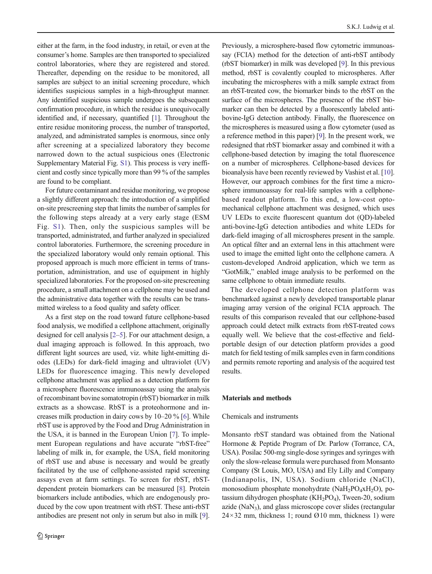either at the farm, in the food industry, in retail, or even at the consumer's home. Samples are then transported to specialized control laboratories, where they are registered and stored. Thereafter, depending on the residue to be monitored, all samples are subject to an initial screening procedure, which identifies suspicious samples in a high-throughput manner. Any identified suspicious sample undergoes the subsequent confirmation procedure, in which the residue is unequivocally identified and, if necessary, quantified [\[1](#page-9-0)]. Throughout the entire residue monitoring process, the number of transported, analyzed, and administrated samples is enormous, since only after screening at a specialized laboratory they become narrowed down to the actual suspicious ones (Electronic Supplementary Material Fig. S1). This process is very inefficient and costly since typically more than 99 % of the samples are found to be compliant.

For future contaminant and residue monitoring, we propose a slightly different approach: the introduction of a simplified on-site prescreening step that limits the number of samples for the following steps already at a very early stage (ESM Fig. S1). Then, only the suspicious samples will be transported, administrated, and further analyzed in specialized control laboratories. Furthermore, the screening procedure in the specialized laboratory would only remain optional. This proposed approach is much more efficient in terms of transportation, administration, and use of equipment in highly specialized laboratories. For the proposed on-site prescreening procedure, a small attachment on a cellphone may be used and the administrative data together with the results can be transmitted wireless to a food quality and safety officer.

As a first step on the road toward future cellphone-based food analysis, we modified a cellphone attachment, originally designed for cell analysis [\[2](#page-9-0)–[5\]](#page-9-0). For our attachment design, a dual imaging approach is followed. In this approach, two different light sources are used, viz. white light-emitting diodes (LEDs) for dark-field imaging and ultraviolet (UV) LEDs for fluorescence imaging. This newly developed cellphone attachment was applied as a detection platform for a microsphere fluorescence immunoassay using the analysis of recombinant bovine somatotropin (rbST) biomarker in milk extracts as a showcase. RbST is a proteohormone and increases milk production in dairy cows by 10–20 % [[6](#page-9-0)]. While rbST use is approved by the Food and Drug Administration in the USA, it is banned in the European Union [\[7\]](#page-9-0). To implement European regulations and have accurate "rbST-free" labeling of milk in, for example, the USA, field monitoring of rbST use and abuse is necessary and would be greatly facilitated by the use of cellphone-assisted rapid screening assays even at farm settings. To screen for rbST, rbSTdependent protein biomarkers can be measured [\[8\]](#page-9-0). Protein biomarkers include antibodies, which are endogenously produced by the cow upon treatment with rbST. These anti-rbST antibodies are present not only in serum but also in milk [[9\]](#page-9-0).

Previously, a microsphere-based flow cytometric immunoassay (FCIA) method for the detection of anti-rbST antibody (rbST biomarker) in milk was developed [[9](#page-9-0)]. In this previous method, rbST is covalently coupled to microspheres. After incubating the microspheres with a milk sample extract from an rbST-treated cow, the biomarker binds to the rbST on the surface of the microspheres. The presence of the rbST biomarker can then be detected by a fluorescently labeled antibovine-IgG detection antibody. Finally, the fluorescence on the microspheres is measured using a flow cytometer (used as a reference method in this paper) [[9](#page-9-0)]. In the present work, we redesigned that rbST biomarker assay and combined it with a cellphone-based detection by imaging the total fluorescence on a number of microspheres. Cellphone-based devices for bioanalysis have been recently reviewed by Vashist et al. [[10\]](#page-9-0). However, our approach combines for the first time a microsphere immunoassay for real-life samples with a cellphonebased readout platform. To this end, a low-cost optomechanical cellphone attachment was designed, which uses UV LEDs to excite fluorescent quantum dot (QD)-labeled anti-bovine-IgG detection antibodies and white LEDs for dark-field imaging of all microspheres present in the sample. An optical filter and an external lens in this attachment were used to image the emitted light onto the cellphone camera. A custom-developed Android application, which we term as "GotMilk," enabled image analysis to be performed on the same cellphone to obtain immediate results.

The developed cellphone detection platform was benchmarked against a newly developed transportable planar imaging array version of the original FCIA approach. The results of this comparison revealed that our cellphone-based approach could detect milk extracts from rbST-treated cows equally well. We believe that the cost-effective and fieldportable design of our detection platform provides a good match for field testing of milk samples even in farm conditions and permits remote reporting and analysis of the acquired test results.

### Materials and methods

## Chemicals and instruments

Monsanto rbST standard was obtained from the National Hormone & Peptide Program of Dr. Parlow (Torrance, CA, USA). Posilac 500-mg single-dose syringes and syringes with only the slow-release formula were purchased from Monsanto Company (St Louis, MO, USA) and Ely Lilly and Company (Indianapolis, IN, USA). Sodium chloride (NaCl), monosodium phosphate monohydrate (NaH<sub>2</sub>PO<sub>4</sub>xH<sub>2</sub>O), potassium dihydrogen phosphate  $(KH_2PO_4)$ , Tween-20, sodium azide  $(NaN<sub>3</sub>)$ , and glass microscope cover slides (rectangular  $24 \times 32$  mm, thickness 1; round  $\varnothing$ 10 mm, thickness 1) were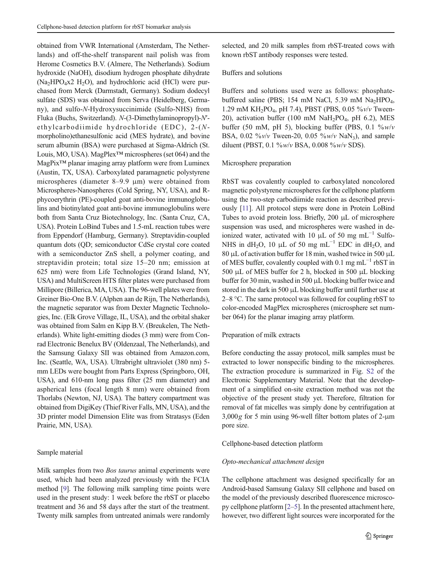<span id="page-2-0"></span>obtained from VWR International (Amsterdam, The Netherlands) and off-the-shelf transparent nail polish was from Herome Cosmetics B.V. (Almere, The Netherlands). Sodium hydroxide (NaOH), disodium hydrogen phosphate dihydrate  $(Na_2HPO_4x2 H_2O)$ , and hydrochloric acid (HCl) were purchased from Merck (Darmstadt, Germany). Sodium dodecyl sulfate (SDS) was obtained from Serva (Heidelberg, Germany), and sulfo-N-Hydroxysuccinimide (Sulfo-NHS) from Fluka (Buchs, Switzerland). N-(3-Dimethylaminopropyl)-N′ ethylcarbodiimide hydrochloride (EDC), 2-(Nmorpholino)ethanesulfonic acid (MES hydrate), and bovine serum albumin (BSA) were purchased at Sigma-Aldrich (St. Louis, MO, USA). MagPlex™ microspheres (set 064) and the MagPix™ planar imaging array platform were from Luminex (Austin, TX, USA). Carboxylated paramagnetic polystyrene microspheres (diameter 8–9.9 μm) were obtained from Microspheres-Nanospheres (Cold Spring, NY, USA), and Rphycoerythrin (PE)-coupled goat anti-bovine immunoglobulins and biotinylated goat anti-bovine immunoglobulins were both from Santa Cruz Biotechnology, Inc. (Santa Cruz, CA, USA). Protein LoBind Tubes and 1.5-mL reaction tubes were from Eppendorf (Hamburg, Germany). Streptavidin-coupled quantum dots (QD; semiconductor CdSe crystal core coated with a semiconductor ZnS shell, a polymer coating, and streptavidin protein; total size 15–20 nm; emission at 625 nm) were from Life Technologies (Grand Island, NY, USA) and MultiScreen HTS filter plates were purchased from Millipore (Billerica, MA, USA). The 96-well plates were from Greiner Bio-One B.V. (Alphen aan de Rijn, The Netherlands), the magnetic separator was from Dexter Magnetic Technologies, Inc. (Elk Grove Village, IL, USA), and the orbital shaker was obtained from Salm en Kipp B.V. (Breukelen, The Netherlands). White light-emitting diodes (3 mm) were from Conrad Electronic Benelux BV (Oldenzaal, The Netherlands), and the Samsung Galaxy SII was obtained from Amazon.com, Inc. (Seattle, WA, USA). Ultrabright ultraviolet (380 nm) 5 mm LEDs were bought from Parts Express (Springboro, OH, USA), and 610-nm long pass filter (25 mm diameter) and aspherical lens (focal length 8 mm) were obtained from Thorlabs (Newton, NJ, USA). The battery compartment was obtained from DigiKey (Thief River Falls, MN, USA), and the 3D printer model Dimension Elite was from Stratasys (Eden Prairie, MN, USA).

#### Sample material

Milk samples from two Bos taurus animal experiments were used, which had been analyzed previously with the FCIA method [\[9\]](#page-9-0). The following milk sampling time points were used in the present study: 1 week before the rbST or placebo treatment and 36 and 58 days after the start of the treatment. Twenty milk samples from untreated animals were randomly selected, and 20 milk samples from rbST-treated cows with known rbST antibody responses were tested.

#### Buffers and solutions

Buffers and solutions used were as follows: phosphatebuffered saline (PBS; 154 mM NaCl, 5.39 mM Na<sub>2</sub>HPO<sub>4</sub>, 1.29 mM KH<sub>2</sub>PO<sub>4</sub>, pH 7.4), PBST (PBS, 0.05 % $v/v$  Tween-20), activation buffer (100 mM  $\text{NaH}_2\text{PO}_4$ , pH 6.2), MES buffer (50 mM, pH 5), blocking buffer (PBS, 0.1  $\%w/v$ BSA, 0.02 % $v/v$  Tween-20, 0.05 % $w/v$  NaN<sub>3</sub>), and sample diluent (PBST, 0.1 %w/v BSA, 0.008 %w/v SDS).

#### Microsphere preparation

RbST was covalently coupled to carboxylated noncolored magnetic polystyrene microspheres for the cellphone platform using the two-step carbodiimide reaction as described previously [[11](#page-9-0)]. All protocol steps were done in Protein LoBind Tubes to avoid protein loss. Briefly, 200 μL of microsphere suspension was used, and microspheres were washed in deionized water, activated with 10 μL of 50 mg mL<sup>-1</sup> Sulfo-NHS in dH<sub>2</sub>O, 10 µL of 50 mg mL<sup>-1</sup> EDC in dH<sub>2</sub>O, and 80 μL of activation buffer for 18 min, washed twice in 500 μL of MES buffer, covalently coupled with 0.1 mg mL−<sup>1</sup> rbST in 500 μL of MES buffer for 2 h, blocked in 500 μL blocking buffer for 30 min, washed in 500 μL blocking buffer twice and stored in the dark in 500 μL blocking buffer until further use at 2–8 °C. The same protocol was followed for coupling rbST to color-encoded MagPlex microspheres (microsphere set number 064) for the planar imaging array platform.

#### Preparation of milk extracts

Before conducting the assay protocol, milk samples must be extracted to lower nonspecific binding to the microspheres. The extraction procedure is summarized in Fig. S2 of the Electronic Supplementary Material. Note that the development of a simplified on-site extraction method was not the objective of the present study yet. Therefore, filtration for removal of fat micelles was simply done by centrifugation at 3,000g for 5 min using 96-well filter bottom plates of 2-μm pore size.

#### Cellphone-based detection platform

#### Opto-mechanical attachment design

The cellphone attachment was designed specifically for an Android-based Samsung Galaxy SII cellphone and based on the model of the previously described fluorescence microscopy cellphone platform  $[2-5]$  $[2-5]$  $[2-5]$  $[2-5]$ . In the presented attachment here, however, two different light sources were incorporated for the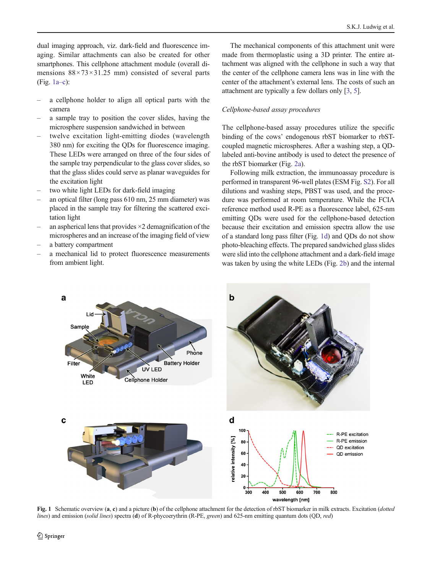<span id="page-3-0"></span>dual imaging approach, viz. dark-field and fluorescence imaging. Similar attachments can also be created for other smartphones. This cellphone attachment module (overall dimensions  $88 \times 73 \times 31.25$  mm) consisted of several parts (Fig. 1a–c):

- a cellphone holder to align all optical parts with the camera
- a sample tray to position the cover slides, having the microsphere suspension sandwiched in between
- twelve excitation light-emitting diodes (wavelength 380 nm) for exciting the QDs for fluorescence imaging. These LEDs were arranged on three of the four sides of the sample tray perpendicular to the glass cover slides, so that the glass slides could serve as planar waveguides for the excitation light
- two white light LEDs for dark-field imaging
- an optical filter (long pass 610 nm, 25 mm diameter) was placed in the sample tray for filtering the scattered excitation light
- an aspherical lens that provides  $\times$ 2 demagnification of the microspheres and an increase of the imaging field of view
- a battery compartment
- a mechanical lid to protect fluorescence measurements from ambient light.

The mechanical components of this attachment unit were made from thermoplastic using a 3D printer. The entire attachment was aligned with the cellphone in such a way that the center of the cellphone camera lens was in line with the center of the attachment's external lens. The costs of such an attachment are typically a few dollars only [[3,](#page-9-0) [5\]](#page-9-0).

# Cellphone-based assay procedures

The cellphone-based assay procedures utilize the specific binding of the cows' endogenous rbST biomarker to rbSTcoupled magnetic microspheres. After a washing step, a QDlabeled anti-bovine antibody is used to detect the presence of the rbST biomarker (Fig. [2a](#page-4-0)).

Following milk extraction, the immunoassay procedure is performed in transparent 96-well plates (ESM Fig. S2). For all dilutions and washing steps, PBST was used, and the procedure was performed at room temperature. While the FCIA reference method used R-PE as a fluorescence label, 625-nm emitting QDs were used for the cellphone-based detection because their excitation and emission spectra allow the use of a standard long pass filter (Fig. 1d) and QDs do not show photo-bleaching effects. The prepared sandwiched glass slides were slid into the cellphone attachment and a dark-field image was taken by using the white LEDs (Fig. [2b](#page-4-0)) and the internal



Fig. 1 Schematic overview  $(a, c)$  and a picture (b) of the cellphone attachment for the detection of rbST biomarker in milk extracts. Excitation (dotted lines) and emission (solid lines) spectra (d) of R-phycoerythrin (R-PE, green) and 625-nm emitting quantum dots (QD, red)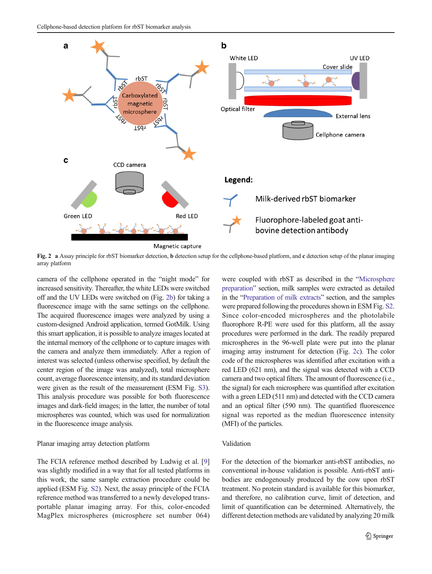<span id="page-4-0"></span>

Fig. 2 a Assay principle for rbST biomarker detection, b detection setup for the cellphone-based platform, and c detection setup of the planar imaging array platform

camera of the cellphone operated in the "night mode" for increased sensitivity. Thereafter, the white LEDs were switched off and the UV LEDs were switched on (Fig. 2b) for taking a fluorescence image with the same settings on the cellphone. The acquired fluorescence images were analyzed by using a custom-designed Android application, termed GotMilk. Using this smart application, it is possible to analyze images located at the internal memory of the cellphone or to capture images with the camera and analyze them immediately. After a region of interest was selected (unless otherwise specified, by default the center region of the image was analyzed), total microsphere count, average fluorescence intensity, and its standard deviation were given as the result of the measurement (ESM Fig. S3). This analysis procedure was possible for both fluorescence images and dark-field images; in the latter, the number of total microspheres was counted, which was used for normalization in the fluorescence image analysis.

## Planar imaging array detection platform

The FCIA reference method described by Ludwig et al. [\[9\]](#page-9-0) was slightly modified in a way that for all tested platforms in this work, the same sample extraction procedure could be applied (ESM Fig. S2). Next, the assay principle of the FCIA reference method was transferred to a newly developed transportable planar imaging array. For this, color-encoded MagPlex microspheres (microsphere set number 064) were coupled with rbST as described in the "[Microsphere](#page-2-0) [preparation](#page-2-0)" section, milk samples were extracted as detailed in the "[Preparation of milk extracts](#page-2-0)" section, and the samples were prepared following the procedures shown in ESM Fig. S2. Since color-encoded microspheres and the photolabile fluorophore R-PE were used for this platform, all the assay procedures were performed in the dark. The readily prepared microspheres in the 96-well plate were put into the planar imaging array instrument for detection (Fig. 2c). The color code of the microspheres was identified after excitation with a red LED (621 nm), and the signal was detected with a CCD camera and two optical filters. The amount of fluorescence (i.e., the signal) for each microsphere was quantified after excitation with a green LED (511 nm) and detected with the CCD camera and an optical filter (590 nm). The quantified fluorescence signal was reported as the median fluorescence intensity (MFI) of the particles.

#### Validation

For the detection of the biomarker anti-rbST antibodies, no conventional in-house validation is possible. Anti-rbST antibodies are endogenously produced by the cow upon rbST treatment. No protein standard is available for this biomarker, and therefore, no calibration curve, limit of detection, and limit of quantification can be determined. Alternatively, the different detection methods are validated by analyzing 20 milk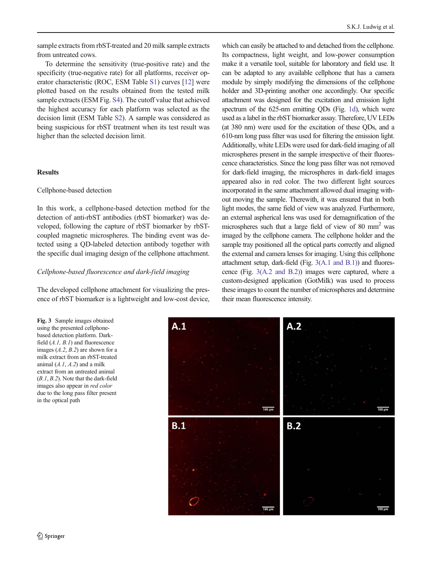<span id="page-5-0"></span>sample extracts from rbST-treated and 20 milk sample extracts from untreated cows.

To determine the sensitivity (true-positive rate) and the specificity (true-negative rate) for all platforms, receiver operator characteristic (ROC, ESM Table S1) curves [\[12](#page-9-0)] were plotted based on the results obtained from the tested milk sample extracts (ESM Fig. S4). The cutoff value that achieved the highest accuracy for each platform was selected as the decision limit (ESM Table S2). A sample was considered as being suspicious for rbST treatment when its test result was higher than the selected decision limit.

## **Results**

## Cellphone-based detection

In this work, a cellphone-based detection method for the detection of anti-rbST antibodies (rbST biomarker) was developed, following the capture of rbST biomarker by rbSTcoupled magnetic microspheres. The binding event was detected using a QD-labeled detection antibody together with the specific dual imaging design of the cellphone attachment.

## Cellphone-based fluorescence and dark-field imaging

The developed cellphone attachment for visualizing the presence of rbST biomarker is a lightweight and low-cost device,

Fig. 3 Sample images obtained using the presented cellphonebased detection platform. Darkfield  $(A.1, B.1)$  and fluorescence images  $(A.2, B.2)$  are shown for a milk extract from an rbST-treated animal  $(A.1, A.2)$  and a milk extract from an untreated animal  $(B.1, B.2)$ . Note that the dark-field images also appear in red color due to the long pass filter present in the optical path

which can easily be attached to and detached from the cellphone. Its compactness, light weight, and low-power consumption make it a versatile tool, suitable for laboratory and field use. It can be adapted to any available cellphone that has a camera module by simply modifying the dimensions of the cellphone holder and 3D-printing another one accordingly. Our specific attachment was designed for the excitation and emission light spectrum of the 625-nm emitting QDs (Fig. [1d](#page-3-0)), which were used as a label in the rbST biomarker assay. Therefore, UV LEDs (at 380 nm) were used for the excitation of these QDs, and a 610-nm long pass filter was used for filtering the emission light. Additionally, white LEDs were used for dark-field imaging of all microspheres present in the sample irrespective of their fluorescence characteristics. Since the long pass filter was not removed for dark-field imaging, the microspheres in dark-field images appeared also in red color. The two different light sources incorporated in the same attachment allowed dual imaging without moving the sample. Therewith, it was ensured that in both light modes, the same field of view was analyzed. Furthermore, an external aspherical lens was used for demagnification of the microspheres such that a large field of view of 80  $\text{mm}^2$  was imaged by the cellphone camera. The cellphone holder and the sample tray positioned all the optical parts correctly and aligned the external and camera lenses for imaging. Using this cellphone attachment setup, dark-field (Fig. 3(A.1 and B.1)) and fluorescence (Fig. 3(A.2 and B.2)) images were captured, where a custom-designed application (GotMilk) was used to process these images to count the number of microspheres and determine their mean fluorescence intensity.

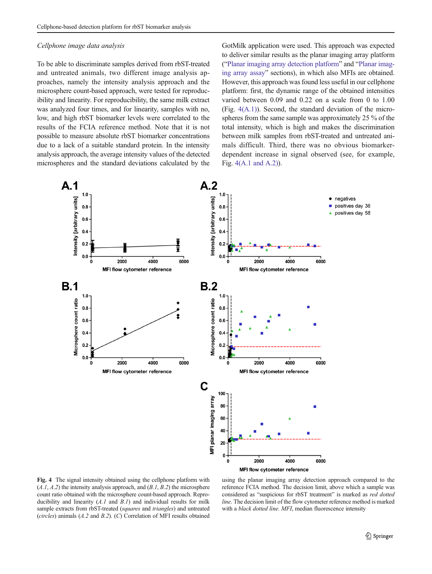#### <span id="page-6-0"></span>Cellphone image data analysis

To be able to discriminate samples derived from rbST-treated and untreated animals, two different image analysis approaches, namely the intensity analysis approach and the microsphere count-based approach, were tested for reproducibility and linearity. For reproducibility, the same milk extract was analyzed four times, and for linearity, samples with no, low, and high rbST biomarker levels were correlated to the results of the FCIA reference method. Note that it is not possible to measure absolute rbST biomarker concentrations due to a lack of a suitable standard protein. In the intensity analysis approach, the average intensity values of the detected microspheres and the standard deviations calculated by the

GotMilk application were used. This approach was expected to deliver similar results as the planar imaging array platform ("[Planar imaging array detection platform](#page-4-0)" and "[Planar imag](#page-7-0)[ing array assay](#page-7-0)" sections), in which also MFIs are obtained. However, this approach was found less useful in our cellphone platform: first, the dynamic range of the obtained intensities varied between 0.09 and 0.22 on a scale from 0 to 1.00 (Fig. 4(A.1)). Second, the standard deviation of the microspheres from the same sample was approximately 25 % of the total intensity, which is high and makes the discrimination between milk samples from rbST-treated and untreated animals difficult. Third, there was no obvious biomarkerdependent increase in signal observed (see, for example, Fig. 4(A.1 and A.2)).



Fig. 4 The signal intensity obtained using the cellphone platform with  $(A.1, A.2)$  the intensity analysis approach, and  $(B.1, B.2)$  the microsphere count ratio obtained with the microsphere count-based approach. Reproducibility and linearity  $(A.1 \text{ and } B.1)$  and individual results for milk sample extracts from rbST-treated (squares and triangles) and untreated (circles) animals (A.2 and B.2). (C) Correlation of MFI results obtained

using the planar imaging array detection approach compared to the reference FCIA method. The decision limit, above which a sample was considered as "suspicious for rbST treatment" is marked as red dotted line. The decision limit of the flow cytometer reference method is marked with a black dotted line. MFI, median fluorescence intensity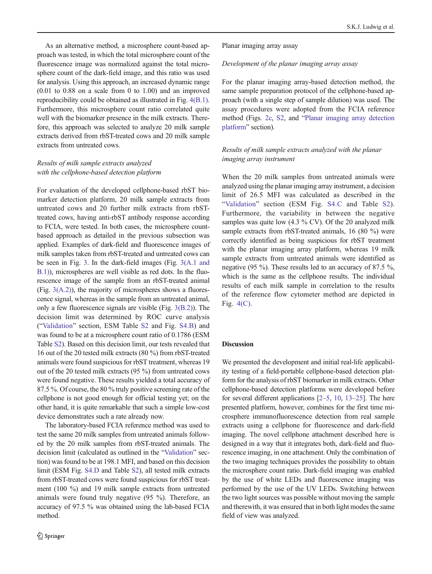<span id="page-7-0"></span>As an alternative method, a microsphere count-based approach was tested, in which the total microsphere count of the fluorescence image was normalized against the total microsphere count of the dark-field image, and this ratio was used for analysis. Using this approach, an increased dynamic range (0.01 to 0.88 on a scale from 0 to 1.00) and an improved reproducibility could be obtained as illustrated in Fig. [4\(B.1\).](#page-6-0) Furthermore, this microsphere count ratio correlated quite well with the biomarker presence in the milk extracts. Therefore, this approach was selected to analyze 20 milk sample extracts derived from rbST-treated cows and 20 milk sample extracts from untreated cows.

# Results of milk sample extracts analyzed with the cellphone-based detection platform

For evaluation of the developed cellphone-based rbST biomarker detection platform, 20 milk sample extracts from untreated cows and 20 further milk extracts from rbSTtreated cows, having anti-rbST antibody response according to FCIA, were tested. In both cases, the microsphere countbased approach as detailed in the previous subsection was applied. Examples of dark-field and fluorescence images of milk samples taken from rbST-treated and untreated cows can be seen in Fig. [3](#page-5-0). In the dark-field images (Fig. [3\(A.1 and](#page-5-0) [B.1\)\)](#page-5-0), microspheres are well visible as red dots. In the fluorescence image of the sample from an rbST-treated animal (Fig. [3\(A.2\)](#page-5-0)), the majority of microspheres shows a fluorescence signal, whereas in the sample from an untreated animal, only a few fluorescence signals are visible (Fig. [3\(B.2\)\)](#page-5-0). The decision limit was determined by ROC curve analysis ("[Validation](#page-4-0)" section, ESM Table S2 and Fig. S4.B) and was found to be at a microsphere count ratio of 0.1786 (ESM Table S2). Based on this decision limit, our tests revealed that 16 out of the 20 tested milk extracts (80 %) from rbST-treated animals were found suspicious for rbST treatment, whereas 19 out of the 20 tested milk extracts (95 %) from untreated cows were found negative. These results yielded a total accuracy of 87.5 %. Of course, the 80 % truly positive screening rate of the cellphone is not good enough for official testing yet; on the other hand, it is quite remarkable that such a simple low-cost device demonstrates such a rate already now.

The laboratory-based FCIA reference method was used to test the same 20 milk samples from untreated animals followed by the 20 milk samples from rbST-treated animals. The decision limit (calculated as outlined in the "[Validation](#page-4-0)" section) was found to be at 198.1 MFI, and based on this decision limit (ESM Fig. S4.D and Table S2), all tested milk extracts from rbST-treated cows were found suspicious for rbST treatment (100 %) and 19 milk sample extracts from untreated animals were found truly negative (95 %). Therefore, an accuracy of 97.5 % was obtained using the lab-based FCIA method.

#### Planar imaging array assay

#### Development of the planar imaging array assay

For the planar imaging array-based detection method, the same sample preparation protocol of the cellphone-based approach (with a single step of sample dilution) was used. The assay procedures were adopted from the FCIA reference method (Figs. [2c,](#page-4-0) S2, and "[Planar imaging array detection](#page-4-0) [platform](#page-4-0)" section).

## Results of milk sample extracts analyzed with the planar imaging array instrument

When the 20 milk samples from untreated animals were analyzed using the planar imaging array instrument, a decision limit of 26.5 MFI was calculated as described in the "[Validation](#page-4-0)" section (ESM Fig. S4.C and Table S2). Furthermore, the variability in between the negative samples was quite low (4.3 % CV). Of the 20 analyzed milk sample extracts from rbST-treated animals, 16 (80 %) were correctly identified as being suspicious for rbST treatment with the planar imaging array platform, whereas 19 milk sample extracts from untreated animals were identified as negative (95 %). These results led to an accuracy of 87.5 %, which is the same as the cellphone results. The individual results of each milk sample in correlation to the results of the reference flow cytometer method are depicted in Fig. [4\(C\)](#page-6-0).

## **Discussion**

We presented the development and initial real-life applicability testing of a field-portable cellphone-based detection platform for the analysis of rbST biomarker in milk extracts. Other cellphone-based detection platforms were developed before for several different applications [\[2](#page-9-0)–[5,](#page-9-0) [10](#page-9-0), [13](#page-9-0)–[25](#page-9-0)]. The here presented platform, however, combines for the first time microsphere immunofluorescence detection from real sample extracts using a cellphone for fluorescence and dark-field imaging. The novel cellphone attachment described here is designed in a way that it integrates both, dark-field and fluorescence imaging, in one attachment. Only the combination of the two imaging techniques provides the possibility to obtain the microsphere count ratio. Dark-field imaging was enabled by the use of white LEDs and fluorescence imaging was performed by the use of the UV LEDs. Switching between the two light sources was possible without moving the sample and therewith, it was ensured that in both light modes the same field of view was analyzed.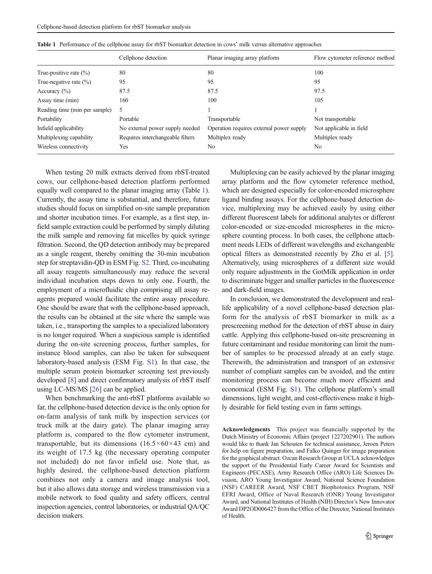|                               | Cellphone detection              | Planar imaging array platform            | Flow cytometer reference method |
|-------------------------------|----------------------------------|------------------------------------------|---------------------------------|
| True-positive rate $(\% )$    | 80                               | 80                                       | 100                             |
| True-negative rate $(\% )$    | 95                               | 95                                       | 95                              |
| Accuracy $(\% )$              | 87.5                             | 87.5                                     | 97.5                            |
| Assay time (min)              | 160                              | 100                                      | 105                             |
| Reading time (min per sample) | 5                                |                                          |                                 |
| Portability                   | Portable                         | Transportable                            | Not transportable               |
| Infield applicability         | No external power supply needed  | Operation requires external power supply | Not applicable in field         |
| Multiplexing capability       | Requires interchangeable filters | Multiplex ready                          | Multiplex ready                 |
| Wireless connectivity         | Yes                              | No                                       | N <sub>0</sub>                  |

Table 1 Performance of the cellphone assay for rbST biomarker detection in cows' milk versus alternative approaches

When testing 20 milk extracts derived from rbST-treated cows, our cellphone-based detection platform performed equally well compared to the planar imaging array (Table 1). Currently, the assay time is substantial, and therefore, future studies should focus on simplified on-site sample preparation and shorter incubation times. For example, as a first step, infield sample extraction could be performed by simply diluting the milk sample and removing fat micelles by quick syringe filtration. Second, the QD detection antibody may be prepared as a single reagent, thereby omitting the 30-min incubation step for streptavidin-QD in ESM Fig. S2. Third, co-incubating all assay reagents simultaneously may reduce the several individual incubation steps down to only one. Fourth, the employment of a microfluidic chip comprising all assay reagents prepared would facilitate the entire assay procedure. One should be aware that with the cellphone-based approach, the results can be obtained at the site where the sample was taken, i.e., transporting the samples to a specialized laboratory is no longer required. When a suspicious sample is identified during the on-site screening process, further samples, for instance blood samples, can also be taken for subsequent laboratory-based analysis (ESM Fig. S1). In that case, the multiple serum protein biomarker screening test previously developed [\[8\]](#page-9-0) and direct confirmatory analysis of rbST itself using LC-MS/MS [\[26\]](#page-9-0) can be applied.

When benchmarking the anti-rbST platforms available so far, the cellphone-based detection device is the only option for on-farm analysis of tank milk by inspection services (or truck milk at the dairy gate). The planar imaging array platform is, compared to the flow cytometer instrument, transportable, but its dimensions  $(16.5 \times 60 \times 43$  cm) and its weight of 17.5 kg (the necessary operating computer not included) do not favor infield use. Note that, as highly desired, the cellphone-based detection platform combines not only a camera and image analysis tool, but it also allows data storage and wireless transmission via a mobile network to food quality and safety officers, central inspection agencies, control laboratories, or industrial QA/QC decision makers.

Multiplexing can be easily achieved by the planar imaging array platform and the flow cytometer reference method, which are designed especially for color-encoded microsphere ligand binding assays. For the cellphone-based detection device, multiplexing may be achieved easily by using either different fluorescent labels for additional analytes or different color-encoded or size-encoded microspheres in the microsphere counting process. In both cases, the cellphone attachment needs LEDs of different wavelengths and exchangeable optical filters as demonstrated recently by Zhu et al. [[5\]](#page-9-0). Alternatively, using microspheres of a different size would only require adjustments in the GotMilk application in order to discriminate bigger and smaller particles in the fluorescence and dark-field images.

In conclusion, we demonstrated the development and reallife applicability of a novel cellphone-based detection platform for the analysis of rbST biomarker in milk as a prescreening method for the detection of rbST abuse in dairy cattle. Applying this cellphone-based on-site prescreening in future contaminant and residue monitoring can limit the number of samples to be processed already at an early stage. Therewith, the administration and transport of an extensive number of compliant samples can be avoided, and the entire monitoring process can become much more efficient and economical (ESM Fig. S1). The cellphone platform's small dimensions, light weight, and cost-effectiveness make it highly desirable for field testing even in farm settings.

Acknowledgments This project was financially supported by the Dutch Ministry of Economic Affairs (project 1227202901). The authors would like to thank Jan Schouten for technical assistance, Jeroen Peters for help on figure preparation, and Falko Quinger for image preparation for the graphical abstract. Ozcan Research Group at UCLA acknowledges the support of the Presidential Early Career Award for Scientists and Engineers (PECASE), Army Research Office (ARO) Life Sciences Division, ARO Young Investigator Award, National Science Foundation (NSF) CAREER Award, NSF CBET Biophotonics Program, NSF EFRI Award, Office of Naval Research (ONR) Young Investigator Award, and National Institutes of Health (NIH) Director's New Innovator Award DP2OD006427 from the Office of the Director, National Institutes of Health.